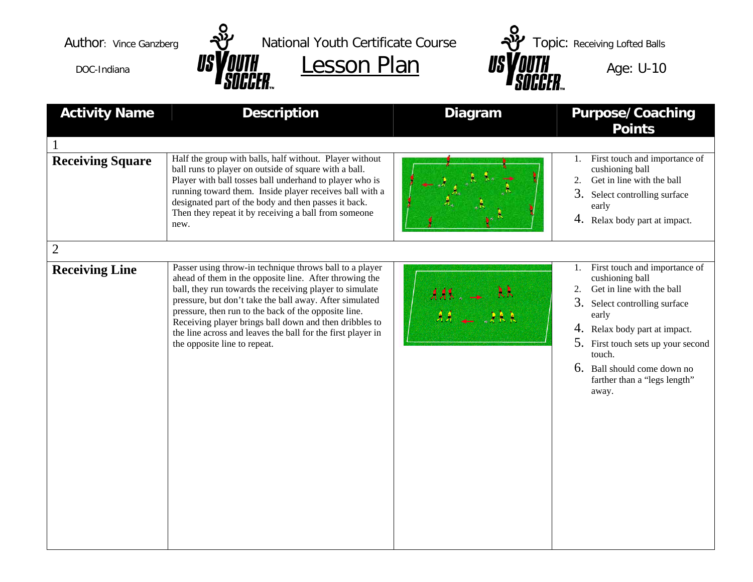



Author: Vince Ganzberg  $\frac{1}{2}$  National Youth Certificate Course  $\frac{1}{2}$  Topic: Receiving Lofted Balls  $\frac{1}{\text{DOC-Indiana}}$  **USY OUTH Lesson Plan <b>USY OUTH** Age: U-10

| <b>Activity Name</b>    | <b>Description</b>                                                                                                                                                                                                                                                                                                                                                                                                                                       | <b>Diagram</b> | <b>Purpose/Coaching</b><br><b>Points</b>                                                                                                                                                                                                                                                              |
|-------------------------|----------------------------------------------------------------------------------------------------------------------------------------------------------------------------------------------------------------------------------------------------------------------------------------------------------------------------------------------------------------------------------------------------------------------------------------------------------|----------------|-------------------------------------------------------------------------------------------------------------------------------------------------------------------------------------------------------------------------------------------------------------------------------------------------------|
|                         |                                                                                                                                                                                                                                                                                                                                                                                                                                                          |                |                                                                                                                                                                                                                                                                                                       |
| <b>Receiving Square</b> | Half the group with balls, half without. Player without<br>ball runs to player on outside of square with a ball.<br>Player with ball tosses ball underhand to player who is<br>running toward them. Inside player receives ball with a<br>designated part of the body and then passes it back.<br>Then they repeat it by receiving a ball from someone<br>new.                                                                                           |                | First touch and importance of<br>1.<br>cushioning ball<br>Get in line with the ball<br>2.<br>3.<br>Select controlling surface<br>early<br>4. Relax body part at impact.                                                                                                                               |
| $\overline{2}$          |                                                                                                                                                                                                                                                                                                                                                                                                                                                          |                |                                                                                                                                                                                                                                                                                                       |
| <b>Receiving Line</b>   | Passer using throw-in technique throws ball to a player<br>ahead of them in the opposite line. After throwing the<br>ball, they run towards the receiving player to simulate<br>pressure, but don't take the ball away. After simulated<br>pressure, then run to the back of the opposite line.<br>Receiving player brings ball down and then dribbles to<br>the line across and leaves the ball for the first player in<br>the opposite line to repeat. |                | First touch and importance of<br>1.<br>cushioning ball<br>Get in line with the ball<br>2.<br>3.<br>Select controlling surface<br>early<br>Relax body part at impact.<br>4.<br>5.<br>First touch sets up your second<br>touch.<br>6. Ball should come down no<br>farther than a "legs length"<br>away. |